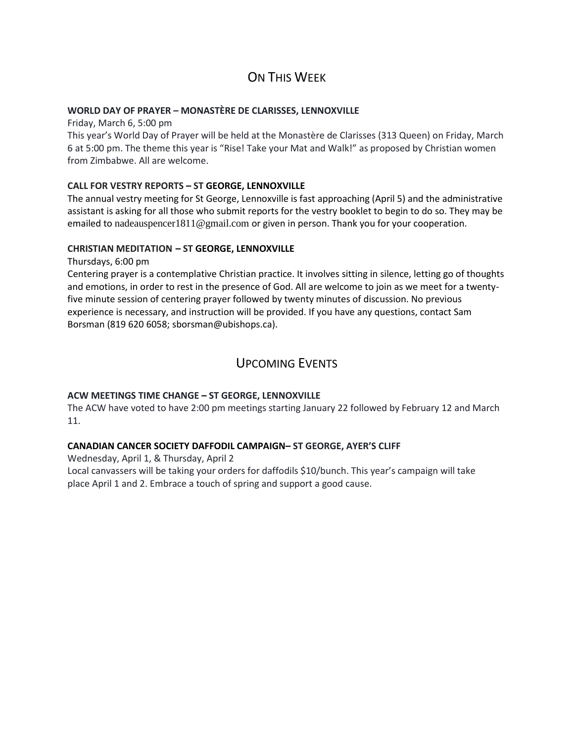## ON THIS WFFK

### **WORLD DAY OF PRAYER – MONASTÈRE DE CLARISSES, LENNOXVILLE**

Friday, March 6, 5:00 pm

This year's World Day of Prayer will be held at the Monastère de Clarisses (313 Queen) on Friday, March 6 at 5:00 pm. The theme this year is "Rise! Take your Mat and Walk!" as proposed by Christian women from Zimbabwe. All are welcome.

### **CALL FOR VESTRY REPORTS – ST GEORGE, LENNOXVILLE**

The annual vestry meeting for St George, Lennoxville is fast approaching (April 5) and the administrative assistant is asking for all those who submit reports for the vestry booklet to begin to do so. They may be emailed to [nadeauspencer1811@gmail.com](mailto:nadeauspencer1811@gmail.com) or given in person. Thank you for your cooperation.

### **CHRISTIAN MEDITATION – ST GEORGE, LENNOXVILLE**

Thursdays, 6:00 pm

Centering prayer is a contemplative Christian practice. It involves sitting in silence, letting go of thoughts and emotions, in order to rest in the presence of God. All are welcome to join as we meet for a twentyfive minute session of centering prayer followed by twenty minutes of discussion. No previous experience is necessary, and instruction will be provided. If you have any questions, contact Sam Borsman (819 620 6058; sborsman@ubishops.ca).

### UPCOMING EVENTS

### **ACW MEETINGS TIME CHANGE – ST GEORGE, LENNOXVILLE**

The ACW have voted to have 2:00 pm meetings starting January 22 followed by February 12 and March 11.

### **CANADIAN CANCER SOCIETY DAFFODIL CAMPAIGN– ST GEORGE, AYER'S CLIFF**

Wednesday, April 1, & Thursday, April 2

Local canvassers will be taking your orders for daffodils \$10/bunch. This year's campaign will take place April 1 and 2. Embrace a touch of spring and support a good cause.